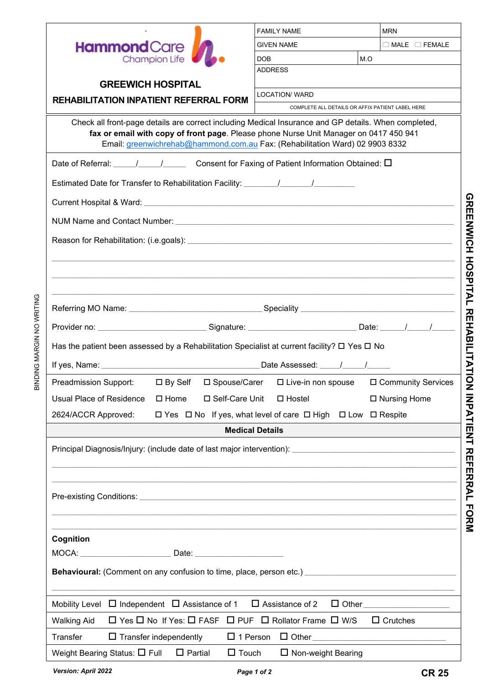|                                                                                                                  | <b>FAMILY NAME</b>                                           |     | <b>MRN</b>                |  |  |  |  |  |
|------------------------------------------------------------------------------------------------------------------|--------------------------------------------------------------|-----|---------------------------|--|--|--|--|--|
| <b>Hammond</b> Care                                                                                              | <b>GIVEN NAME</b>                                            |     | $\Box$ MALE $\Box$ FEMALE |  |  |  |  |  |
| <b>Champion Life</b>                                                                                             | DOB                                                          | M.O |                           |  |  |  |  |  |
|                                                                                                                  | <b>ADDRESS</b>                                               |     |                           |  |  |  |  |  |
| <b>GREEWICH HOSPITAL</b>                                                                                         | <b>LOCATION/ WARD</b>                                        |     |                           |  |  |  |  |  |
| <b>REHABILITATION INPATIENT REFERRAL FORM</b>                                                                    | COMPLETE ALL DETAILS OR AFFIX PATIENT LABEL HERE             |     |                           |  |  |  |  |  |
| Check all front-page details are correct including Medical Insurance and GP details. When completed,             |                                                              |     |                           |  |  |  |  |  |
| fax or email with copy of front page. Please phone Nurse Unit Manager on 0417 450 941                            |                                                              |     |                           |  |  |  |  |  |
| Email: greenwichrehab@hammond.com.au Fax: (Rehabilitation Ward) 02 9903 8332                                     |                                                              |     |                           |  |  |  |  |  |
| Date of Referral: \____/ \____/ Consent for Faxing of Patient Information Obtained: $\Box$                       |                                                              |     |                           |  |  |  |  |  |
| Estimated Date for Transfer to Rehabilitation Facility: ________________________                                 |                                                              |     |                           |  |  |  |  |  |
|                                                                                                                  |                                                              |     |                           |  |  |  |  |  |
|                                                                                                                  |                                                              |     |                           |  |  |  |  |  |
|                                                                                                                  |                                                              |     |                           |  |  |  |  |  |
|                                                                                                                  |                                                              |     |                           |  |  |  |  |  |
|                                                                                                                  |                                                              |     |                           |  |  |  |  |  |
|                                                                                                                  |                                                              |     |                           |  |  |  |  |  |
|                                                                                                                  |                                                              |     |                           |  |  |  |  |  |
|                                                                                                                  |                                                              |     |                           |  |  |  |  |  |
| Has the patient been assessed by a Rehabilitation Specialist at current facility? $\Box$ Yes $\Box$ No           |                                                              |     |                           |  |  |  |  |  |
|                                                                                                                  |                                                              |     |                           |  |  |  |  |  |
| □ By Self □ Spouse/Carer<br>Preadmission Support:                                                                | $\Box$ Live-in non spouse $\Box$ Community Services          |     |                           |  |  |  |  |  |
| □ Self-Care Unit<br>Usual Place of Residence<br>$\square$ Home                                                   | $\Box$ Hostel                                                |     | □ Nursing Home            |  |  |  |  |  |
| 2624/ACCR Approved:                                                                                              | □ Yes □ No If yes, what level of care □ High □ Low □ Respite |     |                           |  |  |  |  |  |
|                                                                                                                  | <b>Medical Details</b>                                       |     |                           |  |  |  |  |  |
|                                                                                                                  |                                                              |     |                           |  |  |  |  |  |
|                                                                                                                  |                                                              |     |                           |  |  |  |  |  |
|                                                                                                                  |                                                              |     |                           |  |  |  |  |  |
|                                                                                                                  |                                                              |     |                           |  |  |  |  |  |
|                                                                                                                  |                                                              |     |                           |  |  |  |  |  |
|                                                                                                                  |                                                              |     |                           |  |  |  |  |  |
| ,我们也不会有什么。""我们的人,我们也不会有什么?""我们的人,我们也不会有什么?""我们的人,我们也不会有什么?""我们的人,我们也不会有什么?""我们的人<br>Cognition                    |                                                              |     |                           |  |  |  |  |  |
|                                                                                                                  |                                                              |     |                           |  |  |  |  |  |
| Behavioural: (Comment on any confusion to time, place, person etc.) ________________________________             |                                                              |     |                           |  |  |  |  |  |
|                                                                                                                  |                                                              |     |                           |  |  |  |  |  |
| Mobility Level $\Box$ Independent $\Box$ Assistance of 1 $\Box$ Assistance of 2<br>□ Other _____________________ |                                                              |     |                           |  |  |  |  |  |
| <b>Walking Aid</b><br>$\Box$ Yes $\Box$ No If Yes: $\Box$ FASF $\Box$ PUF $\Box$ Rollator Frame $\Box$ W/S       |                                                              |     | $\Box$ Crutches           |  |  |  |  |  |
| Transfer                                                                                                         |                                                              |     |                           |  |  |  |  |  |
| Weight Bearing Status: $\square$ Full $\square$ Partial<br>$\Box$ Touch                                          | □ Non-weight Bearing                                         |     |                           |  |  |  |  |  |
|                                                                                                                  |                                                              |     |                           |  |  |  |  |  |

**GREENWICH HOSPITAL REHABILITATION INPATIENT REFERRAL FORM**

GREENWICH HOSPITAL REHENT NDATIENT REHERRAL FORM